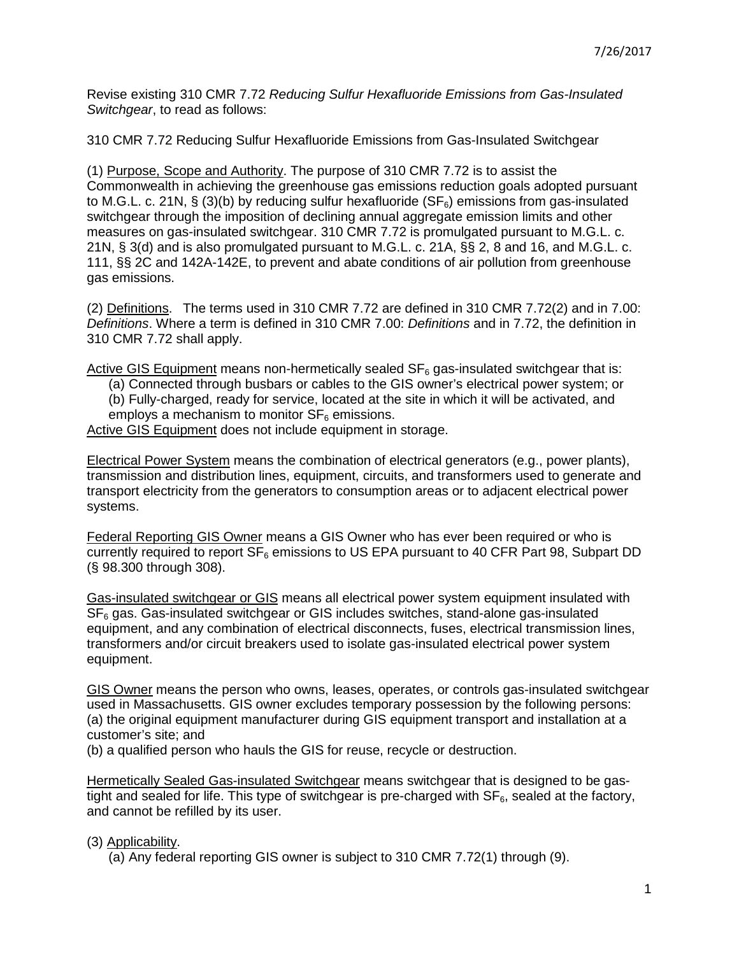Revise existing 310 CMR 7.72 Reducing Sulfur Hexafluoride Emissions from Gas-Insulated Switchgear, to read as follows:

310 CMR 7.72 Reducing Sulfur Hexafluoride Emissions from Gas-Insulated Switchgear

(1) Purpose, Scope and Authority. The purpose of 310 CMR 7.72 is to assist the Commonwealth in achieving the greenhouse gas emissions reduction goals adopted pursuant to M.G.L. c. 21N, § (3)(b) by reducing sulfur hexafluoride ( $SF<sub>6</sub>$ ) emissions from gas-insulated switchgear through the imposition of declining annual aggregate emission limits and other measures on gas-insulated switchgear. 310 CMR 7.72 is promulgated pursuant to M.G.L. c. 21N, § 3(d) and is also promulgated pursuant to M.G.L. c. 21A, §§ 2, 8 and 16, and M.G.L. c. 111, §§ 2C and 142A-142E, to prevent and abate conditions of air pollution from greenhouse gas emissions.

(2) Definitions. The terms used in 310 CMR 7.72 are defined in 310 CMR 7.72(2) and in 7.00: Definitions. Where a term is defined in 310 CMR 7.00: Definitions and in 7.72, the definition in 310 CMR 7.72 shall apply.

Active GIS Equipment means non-hermetically sealed  $SF<sub>6</sub>$  gas-insulated switchgear that is:

(a) Connected through busbars or cables to the GIS owner's electrical power system; or

(b) Fully-charged, ready for service, located at the site in which it will be activated, and employs a mechanism to monitor  $SF<sub>6</sub>$  emissions.

Active GIS Equipment does not include equipment in storage.

Electrical Power System means the combination of electrical generators (e.g., power plants), transmission and distribution lines, equipment, circuits, and transformers used to generate and transport electricity from the generators to consumption areas or to adjacent electrical power systems.

Federal Reporting GIS Owner means a GIS Owner who has ever been required or who is currently required to report  $SF_6$  emissions to US EPA pursuant to 40 CFR Part 98, Subpart DD (§ 98.300 through 308).

Gas-insulated switchgear or GIS means all electrical power system equipment insulated with  $SF<sub>6</sub>$  gas. Gas-insulated switchgear or GIS includes switches, stand-alone gas-insulated equipment, and any combination of electrical disconnects, fuses, electrical transmission lines, transformers and/or circuit breakers used to isolate gas-insulated electrical power system equipment.

GIS Owner means the person who owns, leases, operates, or controls gas-insulated switchgear used in Massachusetts. GIS owner excludes temporary possession by the following persons: (a) the original equipment manufacturer during GIS equipment transport and installation at a customer's site; and

(b) a qualified person who hauls the GIS for reuse, recycle or destruction.

Hermetically Sealed Gas-insulated Switchgear means switchgear that is designed to be gastight and sealed for life. This type of switchgear is pre-charged with  $SF<sub>6</sub>$ , sealed at the factory, and cannot be refilled by its user.

## (3) Applicability.

(a) Any federal reporting GIS owner is subject to 310 CMR 7.72(1) through (9).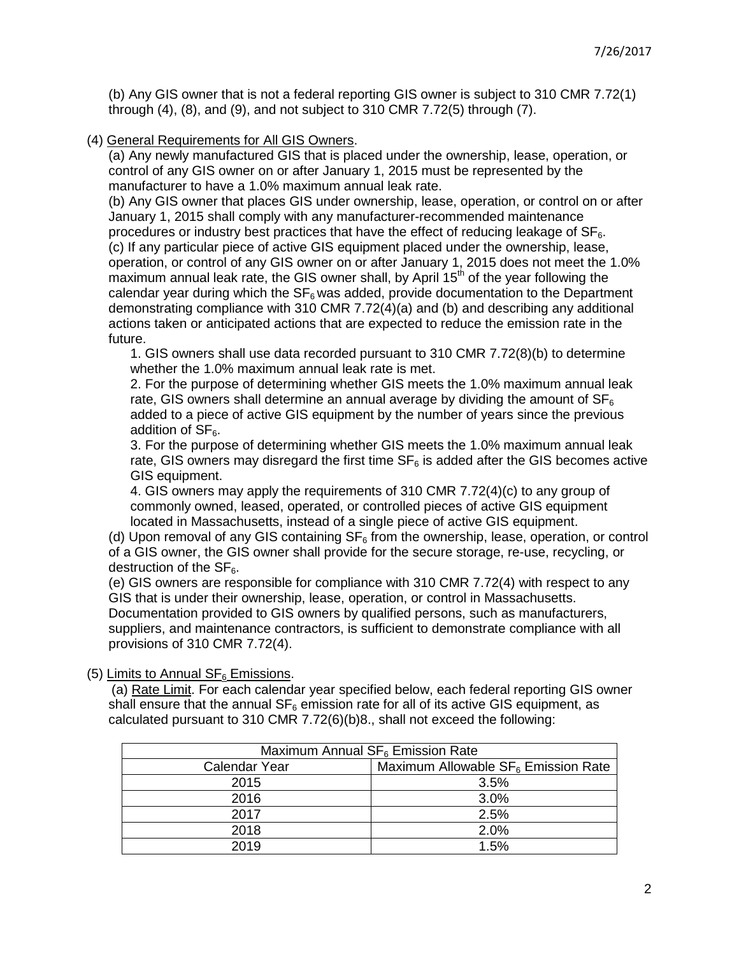(b) Any GIS owner that is not a federal reporting GIS owner is subject to 310 CMR 7.72(1) through (4), (8), and (9), and not subject to 310 CMR 7.72(5) through (7).

(4) General Requirements for All GIS Owners.

(a) Any newly manufactured GIS that is placed under the ownership, lease, operation, or control of any GIS owner on or after January 1, 2015 must be represented by the manufacturer to have a 1.0% maximum annual leak rate.

(b) Any GIS owner that places GIS under ownership, lease, operation, or control on or after January 1, 2015 shall comply with any manufacturer-recommended maintenance procedures or industry best practices that have the effect of reducing leakage of  $SF<sub>6</sub>$ . (c) If any particular piece of active GIS equipment placed under the ownership, lease, operation, or control of any GIS owner on or after January 1, 2015 does not meet the 1.0% maximum annual leak rate, the GIS owner shall, by April  $15<sup>th</sup>$  of the year following the calendar year during which the  $SF<sub>6</sub>$  was added, provide documentation to the Department demonstrating compliance with 310 CMR 7.72(4)(a) and (b) and describing any additional actions taken or anticipated actions that are expected to reduce the emission rate in the future.

1. GIS owners shall use data recorded pursuant to 310 CMR 7.72(8)(b) to determine whether the 1.0% maximum annual leak rate is met.

2. For the purpose of determining whether GIS meets the 1.0% maximum annual leak rate, GIS owners shall determine an annual average by dividing the amount of  $SF<sub>6</sub>$ added to a piece of active GIS equipment by the number of years since the previous addition of  $SF<sub>6</sub>$ .

3. For the purpose of determining whether GIS meets the 1.0% maximum annual leak rate, GIS owners may disregard the first time  $SF<sub>6</sub>$  is added after the GIS becomes active GIS equipment.

4. GIS owners may apply the requirements of 310 CMR 7.72(4)(c) to any group of commonly owned, leased, operated, or controlled pieces of active GIS equipment located in Massachusetts, instead of a single piece of active GIS equipment.

(d) Upon removal of any GIS containing  $SF<sub>6</sub>$  from the ownership, lease, operation, or control of a GIS owner, the GIS owner shall provide for the secure storage, re-use, recycling, or destruction of the  $SF<sub>6</sub>$ .

(e) GIS owners are responsible for compliance with 310 CMR 7.72(4) with respect to any GIS that is under their ownership, lease, operation, or control in Massachusetts. Documentation provided to GIS owners by qualified persons, such as manufacturers, suppliers, and maintenance contractors, is sufficient to demonstrate compliance with all provisions of 310 CMR 7.72(4).

(5) Limits to Annual  $SF<sub>6</sub>$  Emissions.

(a) Rate Limit. For each calendar year specified below, each federal reporting GIS owner shall ensure that the annual  $SF<sub>6</sub>$  emission rate for all of its active GIS equipment, as calculated pursuant to 310 CMR 7.72(6)(b)8., shall not exceed the following:

| Maximum Annual SF <sub>6</sub> Emission Rate |                                                 |  |
|----------------------------------------------|-------------------------------------------------|--|
| Calendar Year                                | Maximum Allowable SF <sub>6</sub> Emission Rate |  |
| 2015                                         | 3.5%                                            |  |
| 2016                                         | 3.0%                                            |  |
| 2017                                         | 2.5%                                            |  |
| 2018                                         | 2.0%                                            |  |
| 2019                                         | 1.5%                                            |  |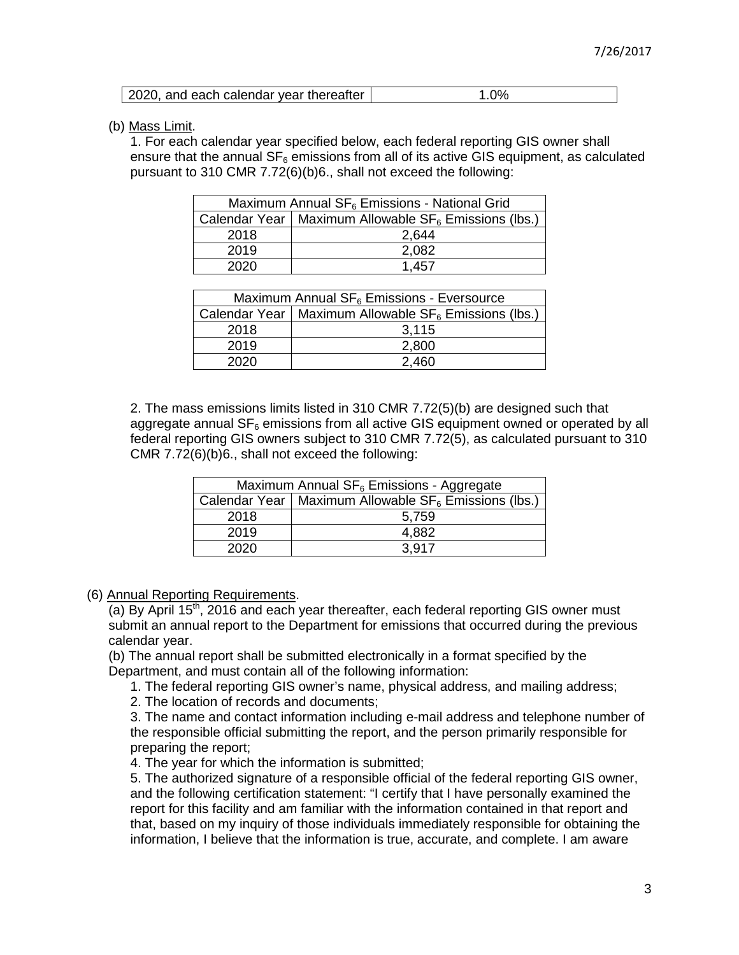| 2020, and each calendar year thereafter | $1.0\%$ |
|-----------------------------------------|---------|

(b) Mass Limit.

1. For each calendar year specified below, each federal reporting GIS owner shall ensure that the annual  $SF<sub>6</sub>$  emissions from all of its active GIS equipment, as calculated pursuant to 310 CMR 7.72(6)(b)6., shall not exceed the following:

| Maximum Annual $SF_6$ Emissions - National Grid |                                                          |
|-------------------------------------------------|----------------------------------------------------------|
|                                                 | Calendar Year   Maximum Allowable $SF6$ Emissions (lbs.) |
| 2018                                            | 2,644                                                    |
| 2019                                            | 2,082                                                    |
| 2020                                            | 1.457                                                    |

| Maximum Annual $SF6$ Emissions - Eversource |                                                           |  |
|---------------------------------------------|-----------------------------------------------------------|--|
|                                             | Calendar Year   Maximum Allowable $SF_6$ Emissions (lbs.) |  |
| 2018                                        | 3.115                                                     |  |
| 2019                                        | 2,800                                                     |  |
| 2020                                        | 2,460                                                     |  |

2. The mass emissions limits listed in 310 CMR 7.72(5)(b) are designed such that aggregate annual  $SF<sub>6</sub>$  emissions from all active GIS equipment owned or operated by all federal reporting GIS owners subject to 310 CMR 7.72(5), as calculated pursuant to 310 CMR 7.72(6)(b)6., shall not exceed the following:

| Maximum Annual $SF_6$ Emissions - Aggregate |                                                           |
|---------------------------------------------|-----------------------------------------------------------|
|                                             | Calendar Year   Maximum Allowable $SF_6$ Emissions (lbs.) |
| 2018                                        | 5,759                                                     |
| 2019                                        | 4,882                                                     |
| 2020                                        | 3.917                                                     |

(6) Annual Reporting Requirements.

(a) By April  $15<sup>th</sup>$ , 2016 and each year thereafter, each federal reporting GIS owner must submit an annual report to the Department for emissions that occurred during the previous calendar year.

(b) The annual report shall be submitted electronically in a format specified by the Department, and must contain all of the following information:

1. The federal reporting GIS owner's name, physical address, and mailing address;

2. The location of records and documents;

3. The name and contact information including e-mail address and telephone number of the responsible official submitting the report, and the person primarily responsible for preparing the report;

4. The year for which the information is submitted;

5. The authorized signature of a responsible official of the federal reporting GIS owner, and the following certification statement: "I certify that I have personally examined the report for this facility and am familiar with the information contained in that report and that, based on my inquiry of those individuals immediately responsible for obtaining the information, I believe that the information is true, accurate, and complete. I am aware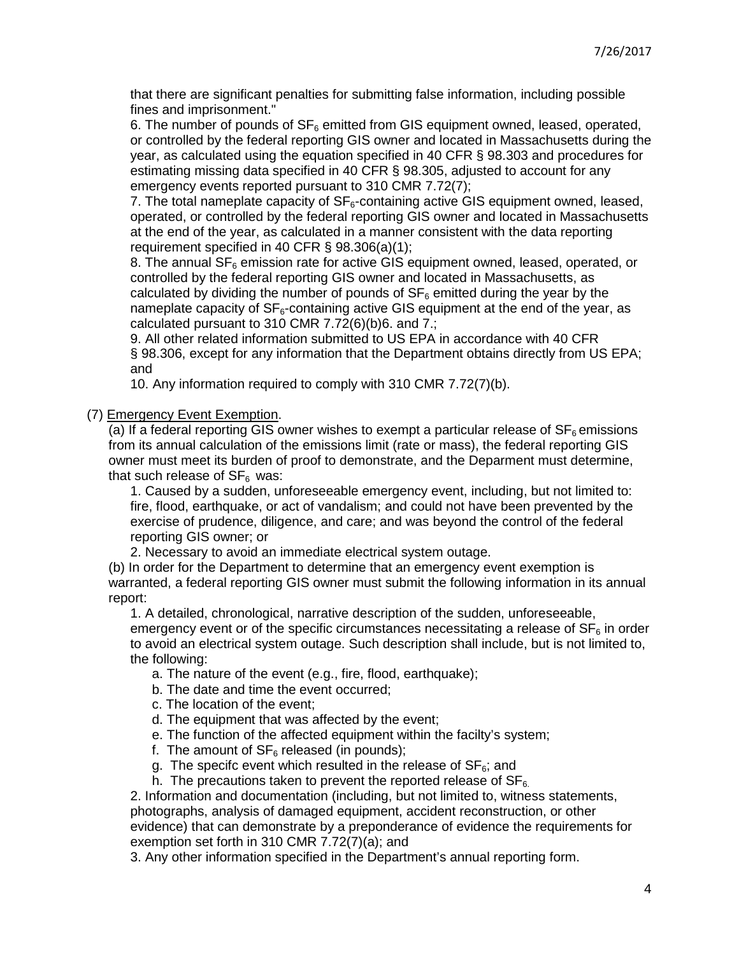that there are significant penalties for submitting false information, including possible fines and imprisonment."

6. The number of pounds of  $SF_6$  emitted from GIS equipment owned, leased, operated, or controlled by the federal reporting GIS owner and located in Massachusetts during the year, as calculated using the equation specified in 40 CFR § 98.303 and procedures for estimating missing data specified in 40 CFR § 98.305, adjusted to account for any emergency events reported pursuant to 310 CMR 7.72(7);

7. The total nameplate capacity of  $SF<sub>6</sub>$ -containing active GIS equipment owned, leased, operated, or controlled by the federal reporting GIS owner and located in Massachusetts at the end of the year, as calculated in a manner consistent with the data reporting requirement specified in 40 CFR § 98.306(a)(1);

8. The annual  $SF<sub>6</sub>$  emission rate for active GIS equipment owned, leased, operated, or controlled by the federal reporting GIS owner and located in Massachusetts, as calculated by dividing the number of pounds of  $SF<sub>6</sub>$  emitted during the year by the nameplate capacity of  $SF<sub>6</sub>$ -containing active GIS equipment at the end of the year, as calculated pursuant to 310 CMR 7.72(6)(b)6. and 7.;

9. All other related information submitted to US EPA in accordance with 40 CFR § 98.306, except for any information that the Department obtains directly from US EPA; and

10. Any information required to comply with 310 CMR 7.72(7)(b).

(7) Emergency Event Exemption.

(a) If a federal reporting GIS owner wishes to exempt a particular release of  $SF<sub>6</sub>$  emissions from its annual calculation of the emissions limit (rate or mass), the federal reporting GIS owner must meet its burden of proof to demonstrate, and the Deparment must determine, that such release of  $SF<sub>6</sub>$  was:

1. Caused by a sudden, unforeseeable emergency event, including, but not limited to: fire, flood, earthquake, or act of vandalism; and could not have been prevented by the exercise of prudence, diligence, and care; and was beyond the control of the federal reporting GIS owner; or

2. Necessary to avoid an immediate electrical system outage.

(b) In order for the Department to determine that an emergency event exemption is warranted, a federal reporting GIS owner must submit the following information in its annual report:

1. A detailed, chronological, narrative description of the sudden, unforeseeable, emergency event or of the specific circumstances necessitating a release of  $SF<sub>6</sub>$  in order to avoid an electrical system outage. Such description shall include, but is not limited to, the following:

a. The nature of the event (e.g., fire, flood, earthquake);

- b. The date and time the event occurred;
- c. The location of the event;
- d. The equipment that was affected by the event;
- e. The function of the affected equipment within the facilty's system;
- f. The amount of  $SF<sub>6</sub>$  released (in pounds);
- g. The specifc event which resulted in the release of  $SF<sub>6</sub>$ ; and

h. The precautions taken to prevent the reported release of  $SF<sub>6</sub>$ .

2. Information and documentation (including, but not limited to, witness statements, photographs, analysis of damaged equipment, accident reconstruction, or other evidence) that can demonstrate by a preponderance of evidence the requirements for exemption set forth in 310 CMR 7.72(7)(a); and

3. Any other information specified in the Department's annual reporting form.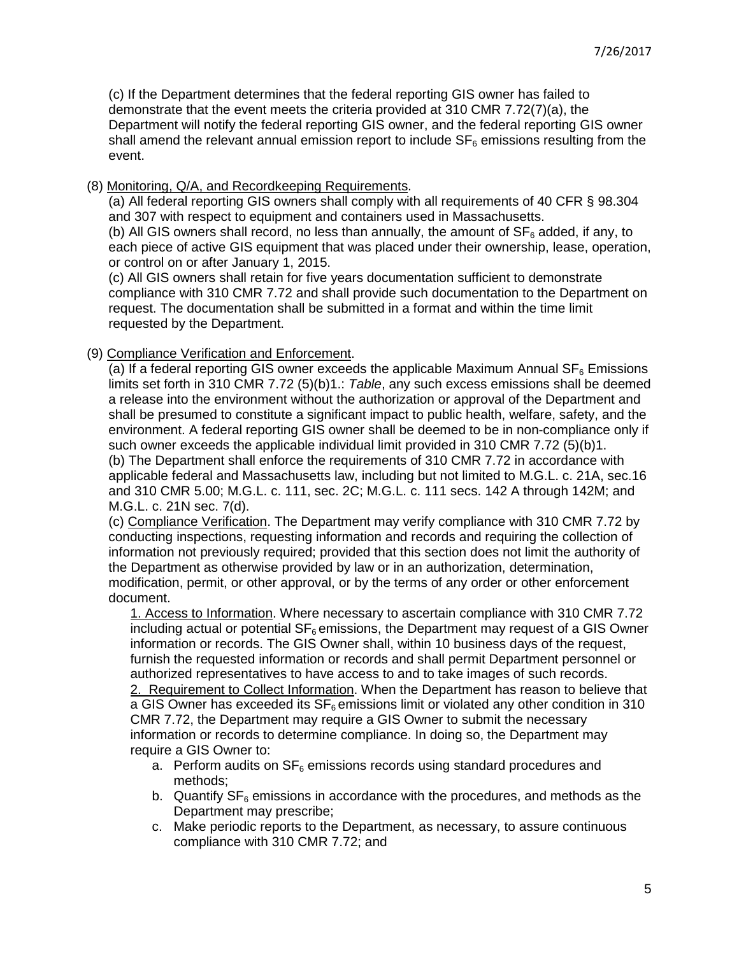(c) If the Department determines that the federal reporting GIS owner has failed to demonstrate that the event meets the criteria provided at 310 CMR 7.72(7)(a), the Department will notify the federal reporting GIS owner, and the federal reporting GIS owner shall amend the relevant annual emission report to include  $SF<sub>6</sub>$  emissions resulting from the event.

## (8) Monitoring, Q/A, and Recordkeeping Requirements.

(a) All federal reporting GIS owners shall comply with all requirements of 40 CFR § 98.304 and 307 with respect to equipment and containers used in Massachusetts.

(b) All GIS owners shall record, no less than annually, the amount of  $SF<sub>6</sub>$  added, if any, to each piece of active GIS equipment that was placed under their ownership, lease, operation, or control on or after January 1, 2015.

(c) All GIS owners shall retain for five years documentation sufficient to demonstrate compliance with 310 CMR 7.72 and shall provide such documentation to the Department on request. The documentation shall be submitted in a format and within the time limit requested by the Department.

## (9) Compliance Verification and Enforcement.

(a) If a federal reporting GIS owner exceeds the applicable Maximum Annual  $SF_6$  Emissions limits set forth in 310 CMR 7.72  $(5)(b)1$ .: Table, any such excess emissions shall be deemed a release into the environment without the authorization or approval of the Department and shall be presumed to constitute a significant impact to public health, welfare, safety, and the environment. A federal reporting GIS owner shall be deemed to be in non-compliance only if such owner exceeds the applicable individual limit provided in 310 CMR 7.72 (5)(b)1. (b) The Department shall enforce the requirements of 310 CMR 7.72 in accordance with applicable federal and Massachusetts law, including but not limited to M.G.L. c. 21A, sec.16 and 310 CMR 5.00; M.G.L. c. 111, sec. 2C; M.G.L. c. 111 secs. 142 A through 142M; and M.G.L. c. 21N sec. 7(d).

(c) Compliance Verification. The Department may verify compliance with 310 CMR 7.72 by conducting inspections, requesting information and records and requiring the collection of information not previously required; provided that this section does not limit the authority of the Department as otherwise provided by law or in an authorization, determination, modification, permit, or other approval, or by the terms of any order or other enforcement document.

1. Access to Information. Where necessary to ascertain compliance with 310 CMR 7.72 including actual or potential  $SF<sub>6</sub>$  emissions, the Department may request of a GIS Owner information or records. The GIS Owner shall, within 10 business days of the request, furnish the requested information or records and shall permit Department personnel or authorized representatives to have access to and to take images of such records. 2. Requirement to Collect Information. When the Department has reason to believe that a GIS Owner has exceeded its  $SF<sub>6</sub>$  emissions limit or violated any other condition in 310 CMR 7.72, the Department may require a GIS Owner to submit the necessary information or records to determine compliance. In doing so, the Department may require a GIS Owner to:

- a. Perform audits on  $SF<sub>6</sub>$  emissions records using standard procedures and methods;
- b. Quantify  $SF<sub>6</sub>$  emissions in accordance with the procedures, and methods as the Department may prescribe;
- c. Make periodic reports to the Department, as necessary, to assure continuous compliance with 310 CMR 7.72; and